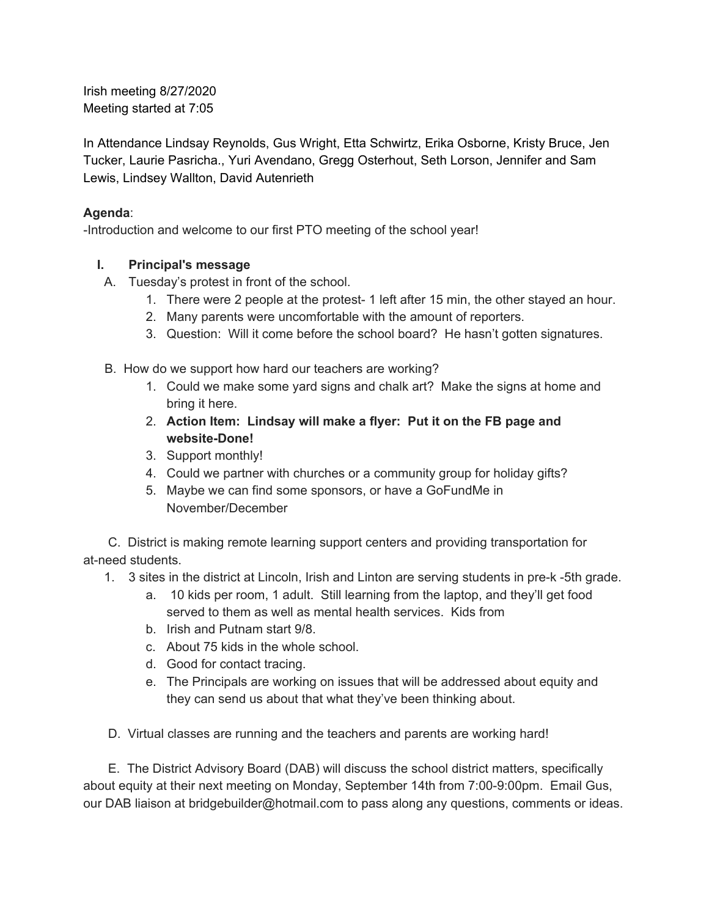Irish meeting 8/27/2020 Meeting started at 7:05

In Attendance Lindsay Reynolds, Gus Wright, Etta Schwirtz, Erika Osborne, Kristy Bruce, Jen Tucker, Laurie Pasricha., Yuri Avendano, Gregg Osterhout, Seth Lorson, Jennifer and Sam Lewis, Lindsey Wallton, David Autenrieth

#### **Agenda**:

-Introduction and welcome to our first PTO meeting of the school year!

# **I. Principal's message**

- A. Tuesday's protest in front of the school.
	- 1. There were 2 people at the protest- 1 left after 15 min, the other stayed an hour.
	- 2. Many parents were uncomfortable with the amount of reporters.
	- 3. Question: Will it come before the school board? He hasn't gotten signatures.
- B. How do we support how hard our teachers are working?
	- 1. Could we make some yard signs and chalk art? Make the signs at home and bring it here.
	- 2. **Action Item: Lindsay will make a flyer: Put it on the FB page and website-Done!**
	- 3. Support monthly!
	- 4. Could we partner with churches or a community group for holiday gifts?
	- 5. Maybe we can find some sponsors, or have a GoFundMe in November/December

C. District is making remote learning support centers and providing transportation for at-need students.

- 1. 3 sites in the district at Lincoln, Irish and Linton are serving students in pre-k -5th grade.
	- a. 10 kids per room, 1 adult. Still learning from the laptop, and they'll get food served to them as well as mental health services. Kids from
	- b. Irish and Putnam start 9/8.
	- c. About 75 kids in the whole school.
	- d. Good for contact tracing.
	- e. The Principals are working on issues that will be addressed about equity and they can send us about that what they've been thinking about.
- D. Virtual classes are running and the teachers and parents are working hard!

E. The District Advisory Board (DAB) will discuss the school district matters, specifically about equity at their next meeting on Monday, September 14th from 7:00-9:00pm. Email Gus, our DAB liaison at bridgebuilder@hotmail.com to pass along any questions, comments or ideas.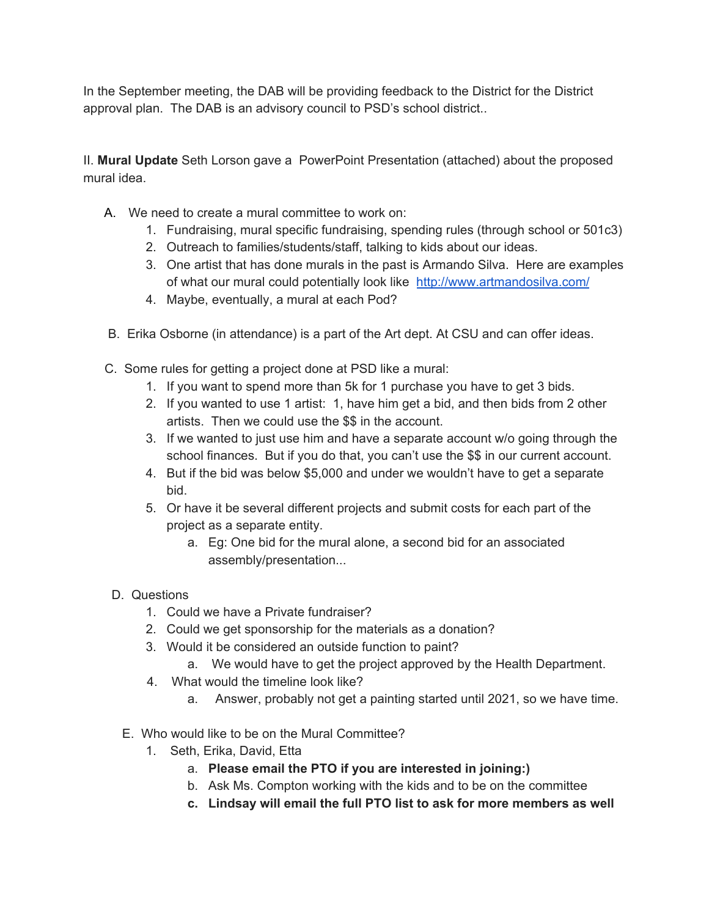In the September meeting, the DAB will be providing feedback to the District for the District approval plan. The DAB is an advisory council to PSD's school district..

II. **Mural Update** Seth Lorson gave a PowerPoint Presentation (attached) about the proposed mural idea.

- A. We need to create a mural committee to work on:
	- 1. Fundraising, mural specific fundraising, spending rules (through school or 501c3)
	- 2. Outreach to families/students/staff, talking to kids about our ideas.
	- 3. One artist that has done murals in the past is Armando Silva. Here are examples of what our mural could potentially look like <http://www.artmandosilva.com/>
	- 4. Maybe, eventually, a mural at each Pod?
- B. Erika Osborne (in attendance) is a part of the Art dept. At CSU and can offer ideas.
- C. Some rules for getting a project done at PSD like a mural:
	- 1. If you want to spend more than 5k for 1 purchase you have to get 3 bids.
	- 2. If you wanted to use 1 artist: 1, have him get a bid, and then bids from 2 other artists. Then we could use the \$\$ in the account.
	- 3. If we wanted to just use him and have a separate account w/o going through the school finances. But if you do that, you can't use the \$\$ in our current account.
	- 4. But if the bid was below \$5,000 and under we wouldn't have to get a separate bid.
	- 5. Or have it be several different projects and submit costs for each part of the project as a separate entity.
		- a. Eg: One bid for the mural alone, a second bid for an associated assembly/presentation...
- D. Questions
	- 1. Could we have a Private fundraiser?
	- 2. Could we get sponsorship for the materials as a donation?
	- 3. Would it be considered an outside function to paint?
		- a. We would have to get the project approved by the Health Department.
	- 4. What would the timeline look like?
		- a. Answer, probably not get a painting started until 2021, so we have time.
	- E. Who would like to be on the Mural Committee?
		- 1. Seth, Erika, David, Etta
			- a. **Please email the PTO if you are interested in joining:)**
			- b. Ask Ms. Compton working with the kids and to be on the committee
			- **c. Lindsay will email the full PTO list to ask for more members as well**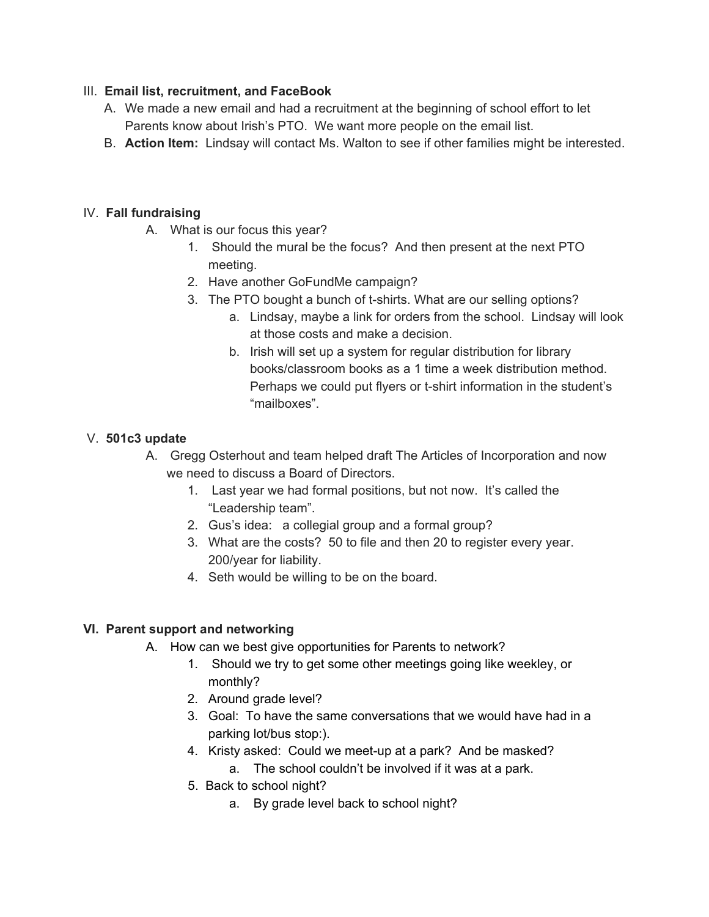#### III. **Email list, recruitment, and FaceBook**

- A. We made a new email and had a recruitment at the beginning of school effort to let Parents know about Irish's PTO. We want more people on the email list.
- B. **Action Item:** Lindsay will contact Ms. Walton to see if other families might be interested.

# IV. **Fall fundraising**

- A. What is our focus this year?
	- 1. Should the mural be the focus? And then present at the next PTO meeting.
	- 2. Have another GoFundMe campaign?
	- 3. The PTO bought a bunch of t-shirts. What are our selling options?
		- a. Lindsay, maybe a link for orders from the school. Lindsay will look at those costs and make a decision.
		- b. Irish will set up a system for regular distribution for library books/classroom books as a 1 time a week distribution method. Perhaps we could put flyers or t-shirt information in the student's "mailboxes".

#### V. **501c3 update**

- A. Gregg Osterhout and team helped draft The Articles of Incorporation and now we need to discuss a Board of Directors.
	- 1. Last year we had formal positions, but not now. It's called the "Leadership team".
	- 2. Gus's idea: a collegial group and a formal group?
	- 3. What are the costs? 50 to file and then 20 to register every year. 200/year for liability.
	- 4. Seth would be willing to be on the board.

# **VI. Parent support and networking**

- A. How can we best give opportunities for Parents to network?
	- 1. Should we try to get some other meetings going like weekley, or monthly?
	- 2. Around grade level?
	- 3. Goal: To have the same conversations that we would have had in a parking lot/bus stop:).
	- 4. Kristy asked: Could we meet-up at a park? And be masked?
		- a. The school couldn't be involved if it was at a park.
	- 5. Back to school night?
		- a. By grade level back to school night?